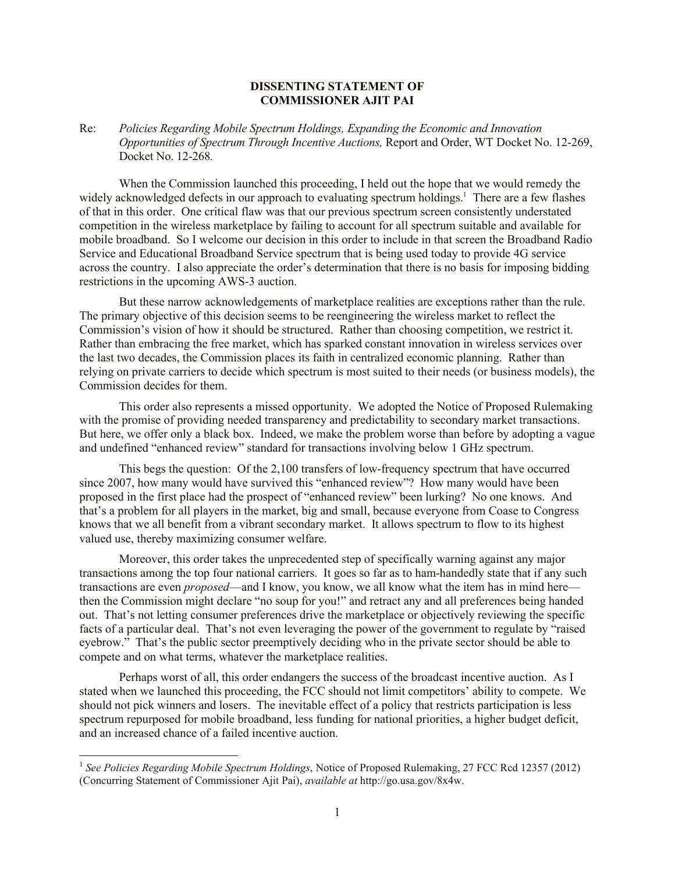## **DISSENTING STATEMENT OF COMMISSIONER AJIT PAI**

Re: *Policies Regarding Mobile Spectrum Holdings, Expanding the Economic and Innovation Opportunities of Spectrum Through Incentive Auctions,* Report and Order, WT Docket No. 12-269, Docket No. 12-268*.*

When the Commission launched this proceeding, I held out the hope that we would remedy the widely acknowledged defects in our approach to evaluating spectrum holdings.<sup>1</sup> There are a few flashes of that in this order. One critical flaw was that our previous spectrum screen consistently understated competition in the wireless marketplace by failing to account for all spectrum suitable and available for mobile broadband. So I welcome our decision in this order to include in that screen the Broadband Radio Service and Educational Broadband Service spectrum that is being used today to provide 4G service across the country. I also appreciate the order's determination that there is no basis for imposing bidding restrictions in the upcoming AWS-3 auction.

But these narrow acknowledgements of marketplace realities are exceptions rather than the rule. The primary objective of this decision seems to be reengineering the wireless market to reflect the Commission's vision of how it should be structured. Rather than choosing competition, we restrict it. Rather than embracing the free market, which has sparked constant innovation in wireless services over the last two decades, the Commission places its faith in centralized economic planning. Rather than relying on private carriers to decide which spectrum is most suited to their needs (or business models), the Commission decides for them.

This order also represents a missed opportunity. We adopted the Notice of Proposed Rulemaking with the promise of providing needed transparency and predictability to secondary market transactions. But here, we offer only a black box. Indeed, we make the problem worse than before by adopting a vague and undefined "enhanced review" standard for transactions involving below 1 GHz spectrum.

This begs the question: Of the 2,100 transfers of low-frequency spectrum that have occurred since 2007, how many would have survived this "enhanced review"? How many would have been proposed in the first place had the prospect of "enhanced review" been lurking? No one knows. And that's a problem for all players in the market, big and small, because everyone from Coase to Congress knows that we all benefit from a vibrant secondary market. It allows spectrum to flow to its highest valued use, thereby maximizing consumer welfare.

Moreover, this order takes the unprecedented step of specifically warning against any major transactions among the top four national carriers. It goes so far as to ham-handedly state that if any such transactions are even *proposed*—and I know, you know, we all know what the item has in mind here then the Commission might declare "no soup for you!" and retract any and all preferences being handed out. That's not letting consumer preferences drive the marketplace or objectively reviewing the specific facts of a particular deal. That's not even leveraging the power of the government to regulate by "raised eyebrow." That's the public sector preemptively deciding who in the private sector should be able to compete and on what terms, whatever the marketplace realities.

Perhaps worst of all, this order endangers the success of the broadcast incentive auction. As I stated when we launched this proceeding, the FCC should not limit competitors' ability to compete. We should not pick winners and losers. The inevitable effect of a policy that restricts participation is less spectrum repurposed for mobile broadband, less funding for national priorities, a higher budget deficit, and an increased chance of a failed incentive auction.

<sup>&</sup>lt;sup>1</sup> See Policies Regarding Mobile Spectrum Holdings, Notice of Proposed Rulemaking, 27 FCC Rcd 12357 (2012) (Concurring Statement of Commissioner Ajit Pai), *available at* http://go.usa.gov/8x4w.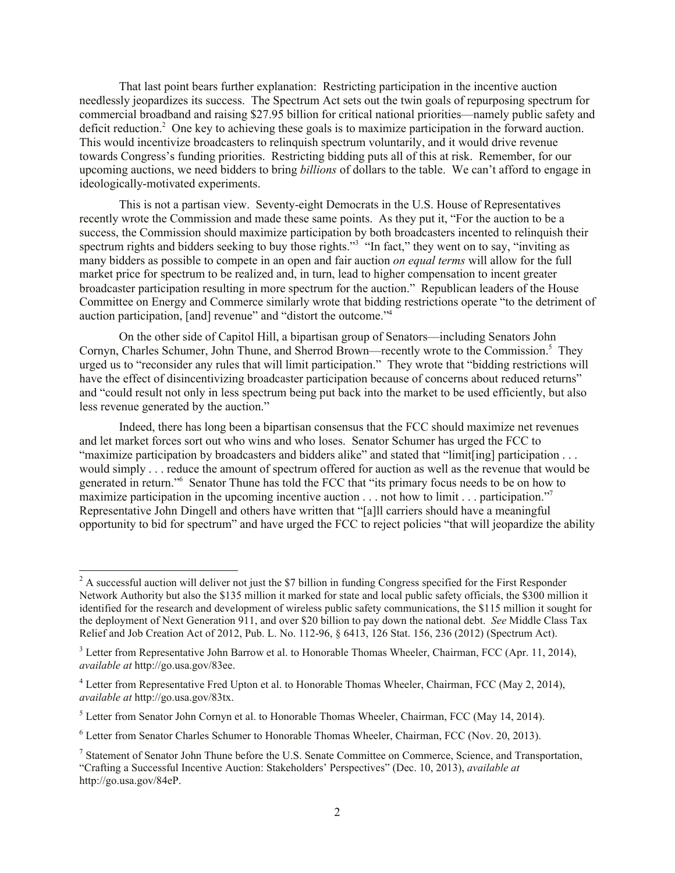That last point bears further explanation: Restricting participation in the incentive auction needlessly jeopardizes its success. The Spectrum Act sets out the twin goals of repurposing spectrum for commercial broadband and raising \$27.95 billion for critical national priorities—namely public safety and deficit reduction.<sup>2</sup> One key to achieving these goals is to maximize participation in the forward auction. This would incentivize broadcasters to relinquish spectrum voluntarily, and it would drive revenue towards Congress's funding priorities. Restricting bidding puts all of this at risk. Remember, for our upcoming auctions, we need bidders to bring *billions* of dollars to the table. We can't afford to engage in ideologically-motivated experiments.

This is not a partisan view. Seventy-eight Democrats in the U.S. House of Representatives recently wrote the Commission and made these same points. As they put it, "For the auction to be a success, the Commission should maximize participation by both broadcasters incented to relinquish their spectrum rights and bidders seeking to buy those rights."<sup>3</sup> "In fact," they went on to say, "inviting as many bidders as possible to compete in an open and fair auction *on equal terms* will allow for the full market price for spectrum to be realized and, in turn, lead to higher compensation to incent greater broadcaster participation resulting in more spectrum for the auction." Republican leaders of the House Committee on Energy and Commerce similarly wrote that bidding restrictions operate "to the detriment of auction participation, [and] revenue" and "distort the outcome."<sup>4</sup>

On the other side of Capitol Hill, a bipartisan group of Senators—including Senators John Cornyn, Charles Schumer, John Thune, and Sherrod Brown—recently wrote to the Commission.<sup>5</sup> They urged us to "reconsider any rules that will limit participation." They wrote that "bidding restrictions will have the effect of disincentivizing broadcaster participation because of concerns about reduced returns" and "could result not only in less spectrum being put back into the market to be used efficiently, but also less revenue generated by the auction."

Indeed, there has long been a bipartisan consensus that the FCC should maximize net revenues and let market forces sort out who wins and who loses. Senator Schumer has urged the FCC to "maximize participation by broadcasters and bidders alike" and stated that "limit[ing] participation . . . would simply . . . reduce the amount of spectrum offered for auction as well as the revenue that would be generated in return."<sup>6</sup> Senator Thune has told the FCC that "its primary focus needs to be on how to maximize participation in the upcoming incentive auction . . . not how to limit . . . participation."<sup>7</sup> Representative John Dingell and others have written that "[a]ll carriers should have a meaningful opportunity to bid for spectrum" and have urged the FCC to reject policies "that will jeopardize the ability

 $2^2$  A successful auction will deliver not just the \$7 billion in funding Congress specified for the First Responder Network Authority but also the \$135 million it marked for state and local public safety officials, the \$300 million it identified for the research and development of wireless public safety communications, the \$115 million it sought for the deployment of Next Generation 911, and over \$20 billion to pay down the national debt. *See* Middle Class Tax Relief and Job Creation Act of 2012, Pub. L. No. 112-96, § 6413, 126 Stat. 156, 236 (2012) (Spectrum Act).

<sup>&</sup>lt;sup>3</sup> Letter from Representative John Barrow et al. to Honorable Thomas Wheeler, Chairman, FCC (Apr. 11, 2014), *available at* http://go.usa.gov/83ee.

<sup>&</sup>lt;sup>4</sup> Letter from Representative Fred Upton et al. to Honorable Thomas Wheeler, Chairman, FCC (May 2, 2014), *available at* http://go.usa.gov/83tx.

 $<sup>5</sup>$  Letter from Senator John Cornyn et al. to Honorable Thomas Wheeler, Chairman, FCC (May 14, 2014).</sup>

<sup>6</sup> Letter from Senator Charles Schumer to Honorable Thomas Wheeler, Chairman, FCC (Nov. 20, 2013).

<sup>&</sup>lt;sup>7</sup> Statement of Senator John Thune before the U.S. Senate Committee on Commerce, Science, and Transportation, "Crafting a Successful Incentive Auction: Stakeholders' Perspectives" (Dec. 10, 2013), *available at*  http://go.usa.gov/84eP.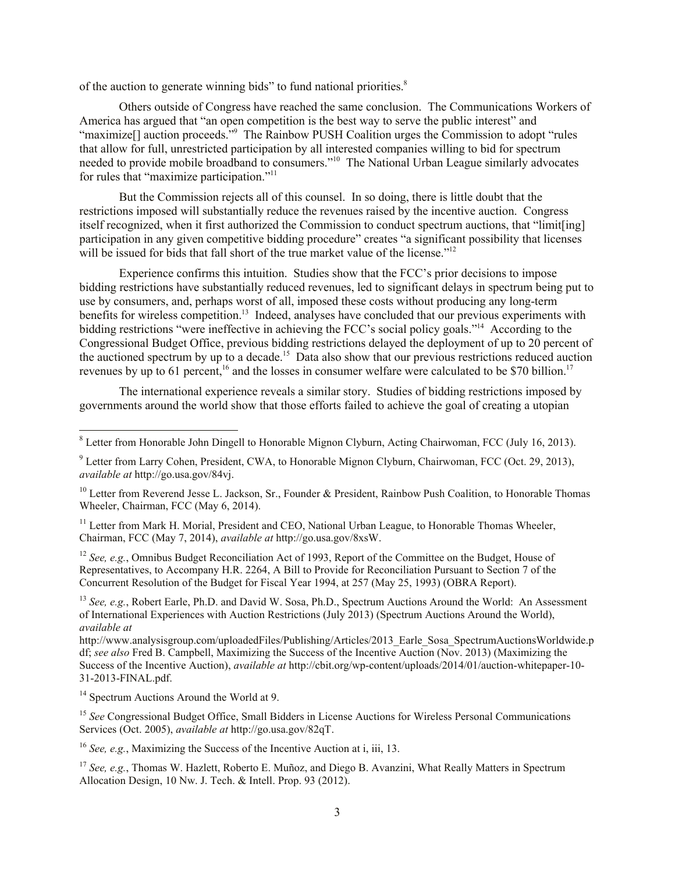of the auction to generate winning bids" to fund national priorities.<sup>8</sup>

Others outside of Congress have reached the same conclusion. The Communications Workers of America has argued that "an open competition is the best way to serve the public interest" and "maximize<sup>[]</sup> auction proceeds."<sup>9</sup> The Rainbow PUSH Coalition urges the Commission to adopt "rules" that allow for full, unrestricted participation by all interested companies willing to bid for spectrum needed to provide mobile broadband to consumers."<sup>10</sup> The National Urban League similarly advocates for rules that "maximize participation."<sup>11</sup>

But the Commission rejects all of this counsel. In so doing, there is little doubt that the restrictions imposed will substantially reduce the revenues raised by the incentive auction. Congress itself recognized, when it first authorized the Commission to conduct spectrum auctions, that "limit[ing] participation in any given competitive bidding procedure" creates "a significant possibility that licenses will be issued for bids that fall short of the true market value of the license."<sup>12</sup>

Experience confirms this intuition. Studies show that the FCC's prior decisions to impose bidding restrictions have substantially reduced revenues, led to significant delays in spectrum being put to use by consumers, and, perhaps worst of all, imposed these costs without producing any long-term benefits for wireless competition.<sup>13</sup> Indeed, analyses have concluded that our previous experiments with bidding restrictions "were ineffective in achieving the FCC's social policy goals."<sup>14</sup> According to the Congressional Budget Office, previous bidding restrictions delayed the deployment of up to 20 percent of the auctioned spectrum by up to a decade.<sup>15</sup> Data also show that our previous restrictions reduced auction revenues by up to 61 percent,<sup>16</sup> and the losses in consumer welfare were calculated to be \$70 billion.<sup>17</sup>

The international experience reveals a similar story. Studies of bidding restrictions imposed by governments around the world show that those efforts failed to achieve the goal of creating a utopian

<sup>12</sup> *See, e.g.*, Omnibus Budget Reconciliation Act of 1993, Report of the Committee on the Budget, House of Representatives, to Accompany H.R. 2264, A Bill to Provide for Reconciliation Pursuant to Section 7 of the Concurrent Resolution of the Budget for Fiscal Year 1994, at 257 (May 25, 1993) (OBRA Report).

<sup>13</sup> *See, e.g.*, Robert Earle, Ph.D. and David W. Sosa, Ph.D., Spectrum Auctions Around the World: An Assessment of International Experiences with Auction Restrictions (July 2013) (Spectrum Auctions Around the World), *available at*

http://www.analysisgroup.com/uploadedFiles/Publishing/Articles/2013\_Earle\_Sosa\_SpectrumAuctionsWorldwide.p df; *see also* Fred B. Campbell, Maximizing the Success of the Incentive Auction (Nov. 2013) (Maximizing the Success of the Incentive Auction), *available at* http://cbit.org/wp-content/uploads/2014/01/auction-whitepaper-10- 31-2013-FINAL.pdf.

<sup>14</sup> Spectrum Auctions Around the World at 9.

l

<sup>15</sup> See Congressional Budget Office, Small Bidders in License Auctions for Wireless Personal Communications Services (Oct. 2005), *available at* http://go.usa.gov/82qT.

<sup>16</sup> *See, e.g.*, Maximizing the Success of the Incentive Auction at i, iii, 13.

<sup>17</sup> *See, e.g.*, Thomas W. Hazlett, Roberto E. Muñoz, and Diego B. Avanzini, What Really Matters in Spectrum Allocation Design, 10 Nw. J. Tech. & Intell. Prop. 93 (2012).

 $8$  Letter from Honorable John Dingell to Honorable Mignon Clyburn, Acting Chairwoman, FCC (July 16, 2013).

<sup>9</sup> Letter from Larry Cohen, President, CWA, to Honorable Mignon Clyburn, Chairwoman, FCC (Oct. 29, 2013), *available at* http://go.usa.gov/84vj.

<sup>&</sup>lt;sup>10</sup> Letter from Reverend Jesse L. Jackson, Sr., Founder & President, Rainbow Push Coalition, to Honorable Thomas Wheeler, Chairman, FCC (May 6, 2014).

<sup>&</sup>lt;sup>11</sup> Letter from Mark H. Morial, President and CEO, National Urban League, to Honorable Thomas Wheeler, Chairman, FCC (May 7, 2014), *available at* http://go.usa.gov/8xsW.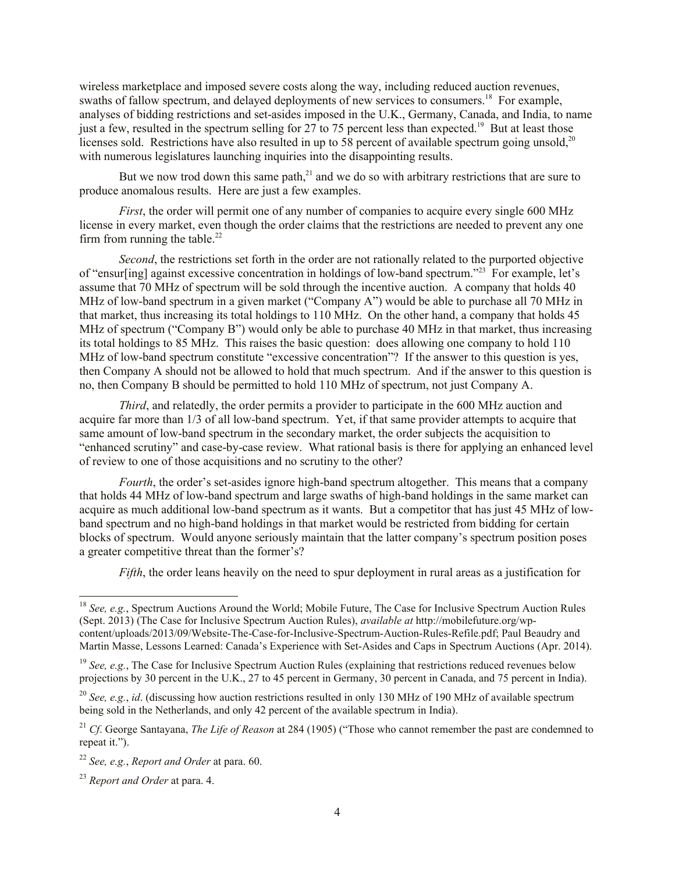wireless marketplace and imposed severe costs along the way, including reduced auction revenues, swaths of fallow spectrum, and delayed deployments of new services to consumers.<sup>18</sup> For example, analyses of bidding restrictions and set-asides imposed in the U.K., Germany, Canada, and India, to name just a few, resulted in the spectrum selling for 27 to 75 percent less than expected.<sup>19</sup> But at least those licenses sold. Restrictions have also resulted in up to 58 percent of available spectrum going unsold,  $20$ with numerous legislatures launching inquiries into the disappointing results.

But we now trod down this same path, $^{21}$  and we do so with arbitrary restrictions that are sure to produce anomalous results. Here are just a few examples.

*First*, the order will permit one of any number of companies to acquire every single 600 MHz license in every market, even though the order claims that the restrictions are needed to prevent any one firm from running the table.<sup>22</sup>

*Second*, the restrictions set forth in the order are not rationally related to the purported objective of "ensur[ing] against excessive concentration in holdings of low-band spectrum."<sup>23</sup> For example, let's assume that 70 MHz of spectrum will be sold through the incentive auction. A company that holds 40 MHz of low-band spectrum in a given market ("Company A") would be able to purchase all 70 MHz in that market, thus increasing its total holdings to 110 MHz. On the other hand, a company that holds 45 MHz of spectrum ("Company B") would only be able to purchase 40 MHz in that market, thus increasing its total holdings to 85 MHz. This raises the basic question: does allowing one company to hold 110 MHz of low-band spectrum constitute "excessive concentration"? If the answer to this question is yes, then Company A should not be allowed to hold that much spectrum. And if the answer to this question is no, then Company B should be permitted to hold 110 MHz of spectrum, not just Company A.

*Third*, and relatedly, the order permits a provider to participate in the 600 MHz auction and acquire far more than 1/3 of all low-band spectrum. Yet, if that same provider attempts to acquire that same amount of low-band spectrum in the secondary market, the order subjects the acquisition to "enhanced scrutiny" and case-by-case review. What rational basis is there for applying an enhanced level of review to one of those acquisitions and no scrutiny to the other?

*Fourth*, the order's set-asides ignore high-band spectrum altogether. This means that a company that holds 44 MHz of low-band spectrum and large swaths of high-band holdings in the same market can acquire as much additional low-band spectrum as it wants. But a competitor that has just 45 MHz of lowband spectrum and no high-band holdings in that market would be restricted from bidding for certain blocks of spectrum. Would anyone seriously maintain that the latter company's spectrum position poses a greater competitive threat than the former's?

*Fifth*, the order leans heavily on the need to spur deployment in rural areas as a justification for

<sup>18</sup> *See, e.g.*, Spectrum Auctions Around the World; Mobile Future, The Case for Inclusive Spectrum Auction Rules (Sept. 2013) (The Case for Inclusive Spectrum Auction Rules), *available at* http://mobilefuture.org/wpcontent/uploads/2013/09/Website-The-Case-for-Inclusive-Spectrum-Auction-Rules-Refile.pdf; Paul Beaudry and Martin Masse, Lessons Learned: Canada's Experience with Set-Asides and Caps in Spectrum Auctions (Apr. 2014).

<sup>&</sup>lt;sup>19</sup> *See, e.g.*, The Case for Inclusive Spectrum Auction Rules (explaining that restrictions reduced revenues below projections by 30 percent in the U.K., 27 to 45 percent in Germany, 30 percent in Canada, and 75 percent in India).

<sup>&</sup>lt;sup>20</sup> *See, e.g., id.* (discussing how auction restrictions resulted in only 130 MHz of 190 MHz of available spectrum being sold in the Netherlands, and only 42 percent of the available spectrum in India).

<sup>21</sup> *Cf*. George Santayana, *The Life of Reason* at 284 (1905) ("Those who cannot remember the past are condemned to repeat it.").

<sup>22</sup> *See, e.g.*, *Report and Order* at para. 60.

<sup>23</sup> *Report and Order* at para. 4.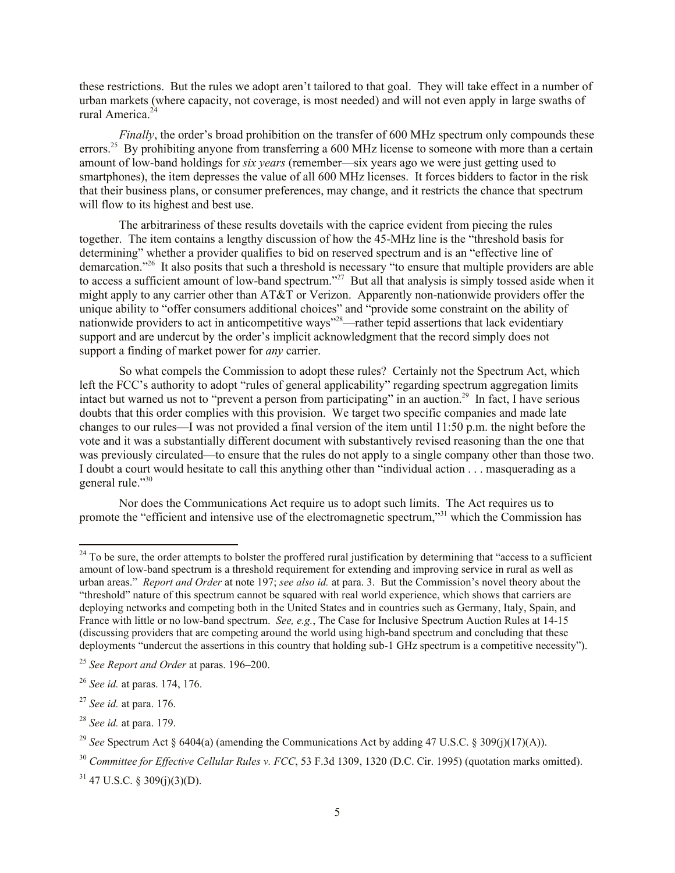these restrictions. But the rules we adopt aren't tailored to that goal. They will take effect in a number of urban markets (where capacity, not coverage, is most needed) and will not even apply in large swaths of rural America<sup>24</sup>

*Finally*, the order's broad prohibition on the transfer of 600 MHz spectrum only compounds these errors.<sup>25</sup> By prohibiting anyone from transferring a 600 MHz license to someone with more than a certain amount of low-band holdings for *six years* (remember—six years ago we were just getting used to smartphones), the item depresses the value of all 600 MHz licenses. It forces bidders to factor in the risk that their business plans, or consumer preferences, may change, and it restricts the chance that spectrum will flow to its highest and best use.

The arbitrariness of these results dovetails with the caprice evident from piecing the rules together. The item contains a lengthy discussion of how the 45-MHz line is the "threshold basis for determining" whether a provider qualifies to bid on reserved spectrum and is an "effective line of demarcation."<sup>26</sup> It also posits that such a threshold is necessary "to ensure that multiple providers are able to access a sufficient amount of low-band spectrum."<sup>27</sup> But all that analysis is simply tossed aside when it might apply to any carrier other than AT&T or Verizon. Apparently non-nationwide providers offer the unique ability to "offer consumers additional choices" and "provide some constraint on the ability of nationwide providers to act in anticompetitive ways<sup>"28</sup>—rather tepid assertions that lack evidentiary support and are undercut by the order's implicit acknowledgment that the record simply does not support a finding of market power for *any* carrier.

So what compels the Commission to adopt these rules? Certainly not the Spectrum Act, which left the FCC's authority to adopt "rules of general applicability" regarding spectrum aggregation limits intact but warned us not to "prevent a person from participating" in an auction.<sup>29</sup> In fact, I have serious doubts that this order complies with this provision. We target two specific companies and made late changes to our rules—I was not provided a final version of the item until 11:50 p.m. the night before the vote and it was a substantially different document with substantively revised reasoning than the one that was previously circulated—to ensure that the rules do not apply to a single company other than those two. I doubt a court would hesitate to call this anything other than "individual action . . . masquerading as a general rule."30

Nor does the Communications Act require us to adopt such limits. The Act requires us to promote the "efficient and intensive use of the electromagnetic spectrum,"<sup>31</sup> which the Commission has

 $24$  To be sure, the order attempts to bolster the proffered rural justification by determining that "access to a sufficient" amount of low-band spectrum is a threshold requirement for extending and improving service in rural as well as urban areas." *Report and Order* at note 197; *see also id.* at para. 3. But the Commission's novel theory about the "threshold" nature of this spectrum cannot be squared with real world experience, which shows that carriers are deploying networks and competing both in the United States and in countries such as Germany, Italy, Spain, and France with little or no low-band spectrum. *See, e.g.*, The Case for Inclusive Spectrum Auction Rules at 14-15 (discussing providers that are competing around the world using high-band spectrum and concluding that these deployments "undercut the assertions in this country that holding sub-1 GHz spectrum is a competitive necessity").

<sup>25</sup> *See Report and Order* at paras. 196–200.

<sup>26</sup> *See id.* at paras. 174, 176.

<sup>27</sup> *See id.* at para. 176.

<sup>28</sup> *See id.* at para. 179.

<sup>&</sup>lt;sup>29</sup> *See* Spectrum Act  $\frac{1}{2}$  6404(a) (amending the Communications Act by adding 47 U.S.C.  $\frac{1}{2}$  309(i)(17)(A)).

<sup>30</sup> *Committee for Effective Cellular Rules v. FCC*, 53 F.3d 1309, 1320 (D.C. Cir. 1995) (quotation marks omitted).

 $31$  47 U.S.C. § 309(j)(3)(D).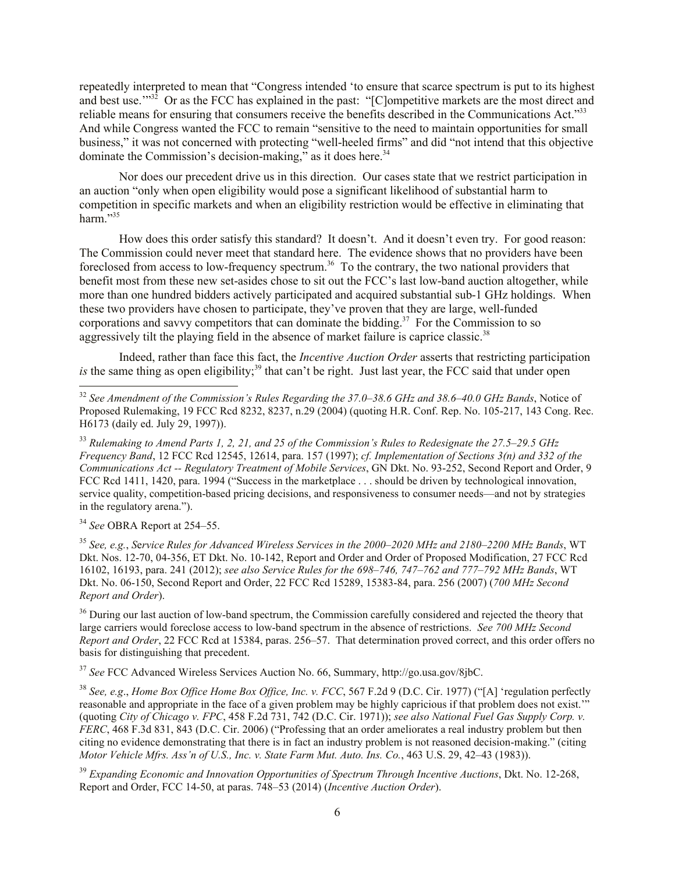repeatedly interpreted to mean that "Congress intended 'to ensure that scarce spectrum is put to its highest and best use.<sup>"32</sup> Or as the FCC has explained in the past: "[C]ompetitive markets are the most direct and reliable means for ensuring that consumers receive the benefits described in the Communications Act."33 And while Congress wanted the FCC to remain "sensitive to the need to maintain opportunities for small business," it was not concerned with protecting "well-heeled firms" and did "not intend that this objective dominate the Commission's decision-making," as it does here.<sup>34</sup>

Nor does our precedent drive us in this direction. Our cases state that we restrict participation in an auction "only when open eligibility would pose a significant likelihood of substantial harm to competition in specific markets and when an eligibility restriction would be effective in eliminating that harm." $35$ 

How does this order satisfy this standard? It doesn't. And it doesn't even try. For good reason: The Commission could never meet that standard here. The evidence shows that no providers have been foreclosed from access to low-frequency spectrum.<sup>36</sup> To the contrary, the two national providers that benefit most from these new set-asides chose to sit out the FCC's last low-band auction altogether, while more than one hundred bidders actively participated and acquired substantial sub-1 GHz holdings. When these two providers have chosen to participate, they've proven that they are large, well-funded corporations and savvy competitors that can dominate the bidding.<sup>37</sup> For the Commission to so aggressively tilt the playing field in the absence of market failure is caprice classic.<sup>38</sup>

Indeed, rather than face this fact, the *Incentive Auction Order* asserts that restricting participation is the same thing as open eligibility;<sup>39</sup> that can't be right. Just last year, the FCC said that under open

<sup>34</sup> *See* OBRA Report at 254–55.

l

<sup>35</sup> *See, e.g.*, *S*e*rvice Rules for Advanced Wireless Services in the 2000–2020 MHz and 2180–2200 MHz Bands*, WT Dkt. Nos. 12-70, 04-356, ET Dkt. No. 10-142, Report and Order and Order of Proposed Modification, 27 FCC Rcd 16102, 16193, para. 241 (2012); *see also Service Rules for the 698–746, 747–762 and 777–792 MHz Bands*, WT Dkt. No. 06-150, Second Report and Order, 22 FCC Rcd 15289, 15383-84, para. 256 (2007) (*700 MHz Second Report and Order*).

<sup>36</sup> During our last auction of low-band spectrum, the Commission carefully considered and rejected the theory that large carriers would foreclose access to low-band spectrum in the absence of restrictions. *See 700 MHz Second Report and Order*, 22 FCC Rcd at 15384, paras. 256–57. That determination proved correct, and this order offers no basis for distinguishing that precedent.

<sup>37</sup> *See* FCC Advanced Wireless Services Auction No. 66, Summary, http://go.usa.gov/8jbC.

<sup>38</sup> *See, e.g*., *Home Box Office Home Box Office, Inc. v. FCC*, 567 F.2d 9 (D.C. Cir. 1977) ("[A] 'regulation perfectly reasonable and appropriate in the face of a given problem may be highly capricious if that problem does not exist." (quoting *City of Chicago v. FPC*, 458 F.2d 731, 742 (D.C. Cir. 1971)); *see also National Fuel Gas Supply Corp. v. FERC*, 468 F.3d 831, 843 (D.C. Cir. 2006) ("Professing that an order ameliorates a real industry problem but then citing no evidence demonstrating that there is in fact an industry problem is not reasoned decision-making." (citing *Motor Vehicle Mfrs. Ass'n of U.S., Inc. v. State Farm Mut. Auto. Ins. Co.*, 463 U.S. 29, 42–43 (1983)).

<sup>39</sup> *Expanding Economic and Innovation Opportunities of Spectrum Through Incentive Auctions*, Dkt. No. 12-268, Report and Order, FCC 14-50, at paras. 748–53 (2014) (*Incentive Auction Order*).

<sup>32</sup> *See Amendment of the Commission's Rules Regarding the 37.0–38.6 GHz and 38.6–40.0 GHz Bands*, Notice of Proposed Rulemaking, 19 FCC Rcd 8232, 8237, n.29 (2004) (quoting H.R. Conf. Rep. No. 105-217, 143 Cong. Rec. H6173 (daily ed. July 29, 1997)).

<sup>33</sup> *Rulemaking to Amend Parts 1, 2, 21, and 25 of the Commission's Rules to Redesignate the 27.5–29.5 GHz Frequency Band*, 12 FCC Rcd 12545, 12614, para. 157 (1997); *cf. Implementation of Sections 3(n) and 332 of the Communications Act -- Regulatory Treatment of Mobile Services*, GN Dkt. No. 93-252, Second Report and Order, 9 FCC Rcd 1411, 1420, para. 1994 ("Success in the marketplace . . . should be driven by technological innovation, service quality, competition-based pricing decisions, and responsiveness to consumer needs—and not by strategies in the regulatory arena.").